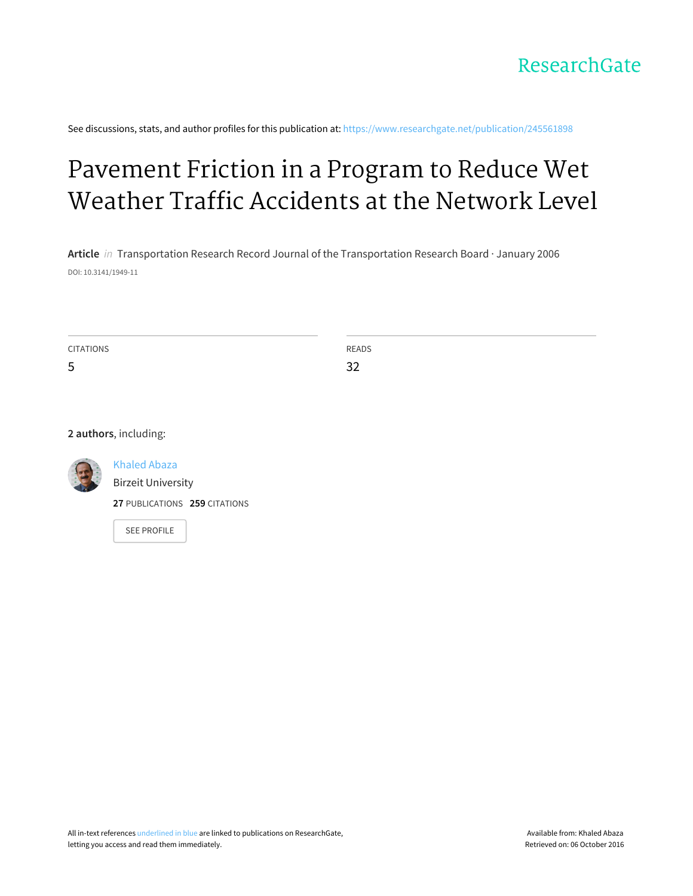

See discussions, stats, and author profiles for this publication at: [https://www.researchgate.net/publication/245561898](https://www.researchgate.net/publication/245561898_Pavement_Friction_in_a_Program_to_Reduce_Wet_Weather_Traffic_Accidents_at_the_Network_Level?enrichId=rgreq-d8ccbec6e6ba33d26e8bb83dcc123da5-XXX&enrichSource=Y292ZXJQYWdlOzI0NTU2MTg5ODtBUzoxOTc1NDY4NTQwOTY5MDBAMTQyNDExMDI0ODQ3NQ%3D%3D&el=1_x_2)

# [Pavement](https://www.researchgate.net/publication/245561898_Pavement_Friction_in_a_Program_to_Reduce_Wet_Weather_Traffic_Accidents_at_the_Network_Level?enrichId=rgreq-d8ccbec6e6ba33d26e8bb83dcc123da5-XXX&enrichSource=Y292ZXJQYWdlOzI0NTU2MTg5ODtBUzoxOTc1NDY4NTQwOTY5MDBAMTQyNDExMDI0ODQ3NQ%3D%3D&el=1_x_3) Friction in a Program to Reduce Wet Weather Traffic Accidents at the Network Level

**Article** in Transportation Research Record Journal of the Transportation Research Board · January 2006 DOI: 10.3141/1949-11

| CITATIONS | <b>READS</b> |
|-----------|--------------|
| 片         | ົາ           |
| پ         | ັ            |

**2 authors**, including:



[Khaled](https://www.researchgate.net/profile/Khaled_Abaza?enrichId=rgreq-d8ccbec6e6ba33d26e8bb83dcc123da5-XXX&enrichSource=Y292ZXJQYWdlOzI0NTU2MTg5ODtBUzoxOTc1NDY4NTQwOTY5MDBAMTQyNDExMDI0ODQ3NQ%3D%3D&el=1_x_5) Abaza

Birzeit [University](https://www.researchgate.net/institution/Birzeit_University?enrichId=rgreq-d8ccbec6e6ba33d26e8bb83dcc123da5-XXX&enrichSource=Y292ZXJQYWdlOzI0NTU2MTg5ODtBUzoxOTc1NDY4NTQwOTY5MDBAMTQyNDExMDI0ODQ3NQ%3D%3D&el=1_x_6)

**27** PUBLICATIONS **259** CITATIONS

SEE [PROFILE](https://www.researchgate.net/profile/Khaled_Abaza?enrichId=rgreq-d8ccbec6e6ba33d26e8bb83dcc123da5-XXX&enrichSource=Y292ZXJQYWdlOzI0NTU2MTg5ODtBUzoxOTc1NDY4NTQwOTY5MDBAMTQyNDExMDI0ODQ3NQ%3D%3D&el=1_x_7)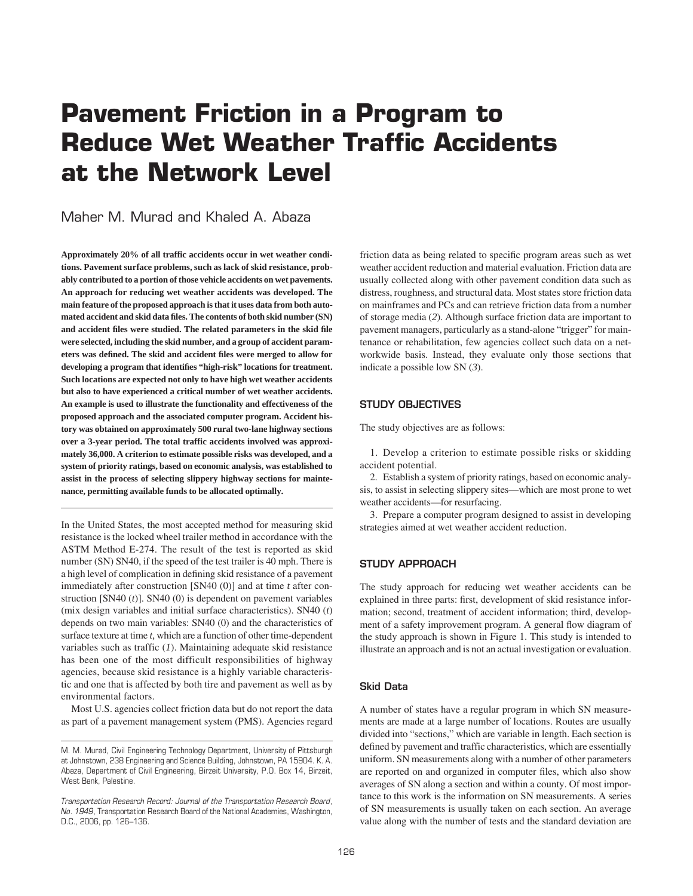## **Pavement Friction in a Program to Reduce Wet Weather Traffic Accidents at the Network Level**

Maher M. Murad and Khaled A. Abaza

**Approximately 20% of all traffic accidents occur in wet weather conditions. Pavement surface problems, such as lack of skid resistance, probably contributed to a portion of those vehicle accidents on wet pavements. An approach for reducing wet weather accidents was developed. The main feature of the proposed approach is that it uses data from both automated accident and skid data files. The contents of both skid number (SN) and accident files were studied. The related parameters in the skid file were selected, including the skid number, and a group of accident parameters was defined. The skid and accident files were merged to allow for developing a program that identifies "high-risk" locations for treatment. Such locations are expected not only to have high wet weather accidents but also to have experienced a critical number of wet weather accidents. An example is used to illustrate the functionality and effectiveness of the proposed approach and the associated computer program. Accident history was obtained on approximately 500 rural two-lane highway sections over a 3-year period. The total traffic accidents involved was approximately 36,000. A criterion to estimate possible risks was developed, and a system of priority ratings, based on economic analysis, was established to assist in the process of selecting slippery highway sections for maintenance, permitting available funds to be allocated optimally.**

In the United States, the most accepted method for measuring skid resistance is the locked wheel trailer method in accordance with the ASTM Method E-274. The result of the test is reported as skid number (SN) SN40, if the speed of the test trailer is 40 mph. There is a high level of complication in defining skid resistance of a pavement immediately after construction [SN40 (0)] and at time *t* after construction [SN40 (*t*)]. SN40 (0) is dependent on pavement variables (mix design variables and initial surface characteristics). SN40 (*t*) depends on two main variables: SN40 (0) and the characteristics of surface texture at time *t,* which are a function of other time-dependent variables such as traffic (*1*). Maintaining adequate skid resistance has been one of the most difficult responsibilities of highway agencies, because skid resistance is a highly variable characteristic and one that is affected by both tire and pavement as well as by environmental factors.

Most U.S. agencies collect friction data but do not report the data as part of a pavement management system (PMS). Agencies regard friction data as being related to specific program areas such as wet weather accident reduction and material evaluation. Friction data are usually collected along with other pavement condition data such as distress, roughness, and structural data. Most states store friction data on mainframes and PCs and can retrieve friction data from a number of storage media (*2*). Although surface friction data are important to pavement managers, particularly as a stand-alone "trigger" for maintenance or rehabilitation, few agencies collect such data on a networkwide basis. Instead, they evaluate only those sections that indicate a possible low SN (*3*).

## **STUDY OBJECTIVES**

The study objectives are as follows:

1. Develop a criterion to estimate possible risks or skidding accident potential.

2. Establish a system of priority ratings, based on economic analysis, to assist in selecting slippery sites—which are most prone to wet weather accidents—for resurfacing.

3. Prepare a computer program designed to assist in developing strategies aimed at wet weather accident reduction.

## **STUDY APPROACH**

The study approach for reducing wet weather accidents can be explained in three parts: first, development of skid resistance information; second, treatment of accident information; third, development of a safety improvement program. A general flow diagram of the study approach is shown in Figure 1. This study is intended to illustrate an approach and is not an actual investigation or evaluation.

#### **Skid Data**

A number of states have a regular program in which SN measurements are made at a large number of locations. Routes are usually divided into "sections," which are variable in length. Each section is defined by pavement and traffic characteristics, which are essentially uniform. SN measurements along with a number of other parameters are reported on and organized in computer files, which also show averages of SN along a section and within a county. Of most importance to this work is the information on SN measurements. A series of SN measurements is usually taken on each section. An average value along with the number of tests and the standard deviation are

M. M. Murad, Civil Engineering Technology Department, University of Pittsburgh at Johnstown, 238 Engineering and Science Building, Johnstown, PA 15904. K. A. Abaza, Department of Civil Engineering, Birzeit University, P.O. Box 14, Birzeit, West Bank, Palestine.

*Transportation Research Record: Journal of the Transportation Research Board, No. 1949,* Transportation Research Board of the National Academies, Washington, D.C., 2006, pp. 126–136.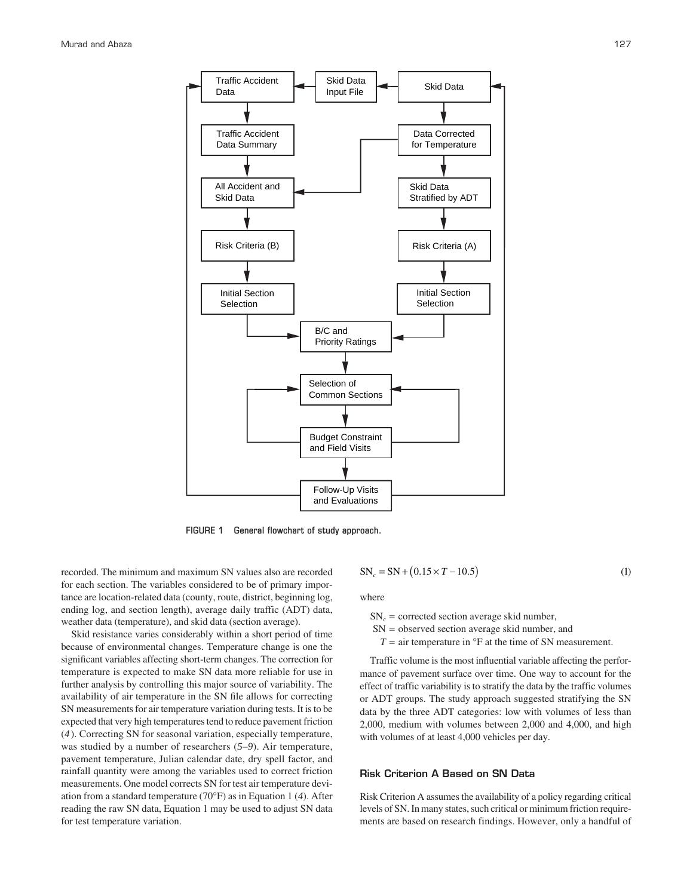

**FIGURE 1 General flowchart of study approach.**

recorded. The minimum and maximum SN values also are recorded for each section. The variables considered to be of primary importance are location-related data (county, route, district, beginning log, ending log, and section length), average daily traffic (ADT) data, weather data (temperature), and skid data (section average).

Skid resistance varies considerably within a short period of time because of environmental changes. Temperature change is one the significant variables affecting short-term changes. The correction for temperature is expected to make SN data more reliable for use in further analysis by controlling this major source of variability. The availability of air temperature in the SN file allows for correcting SN measurements for air temperature variation during tests. It is to be expected that very high temperatures tend to reduce pavement friction (*4*). Correcting SN for seasonal variation, especially temperature, was studied by a number of researchers (*5–9*). Air temperature, pavement temperature, Julian calendar date, dry spell factor, and rainfall quantity were among the variables used to correct friction measurements. One model corrects SN for test air temperature deviation from a standard temperature (70°F) as in Equation 1 (*4*). After reading the raw SN data, Equation 1 may be used to adjust SN data for test temperature variation.

$$
SN_c = SN + (0.15 \times T - 10.5)
$$
 (1)

where

- $SN<sub>c</sub>$  = corrected section average skid number,
- SN = observed section average skid number, and
	- $T =$  air temperature in  ${}^{\circ}$ F at the time of SN measurement.

Traffic volume is the most influential variable affecting the performance of pavement surface over time. One way to account for the effect of traffic variability is to stratify the data by the traffic volumes or ADT groups. The study approach suggested stratifying the SN data by the three ADT categories: low with volumes of less than 2,000, medium with volumes between 2,000 and 4,000, and high with volumes of at least 4,000 vehicles per day.

## **Risk Criterion A Based on SN Data**

Risk Criterion A assumes the availability of a policy regarding critical levels of SN. In many states, such critical or minimum friction requirements are based on research findings. However, only a handful of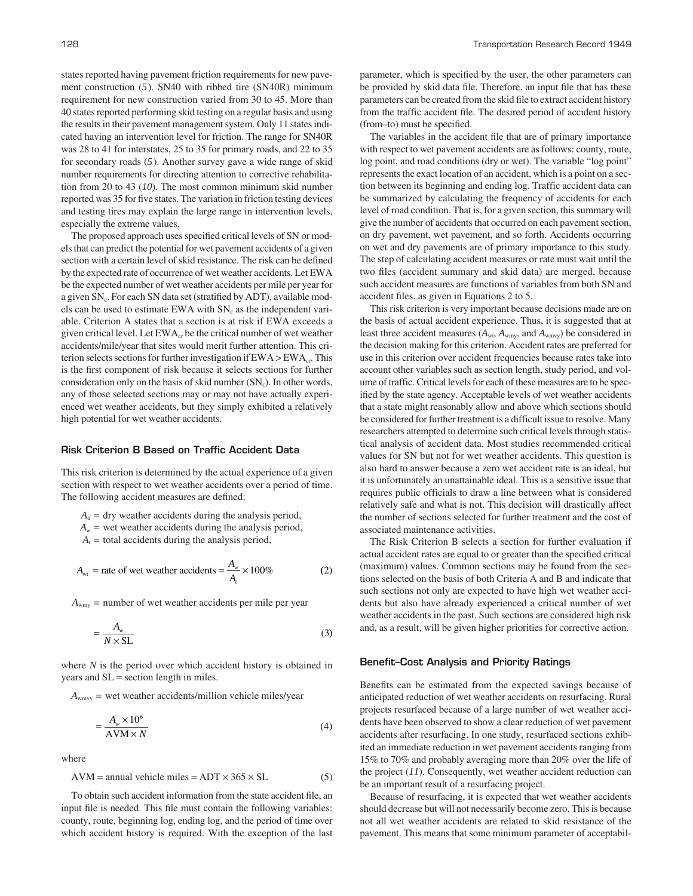states reported having pavement friction requirements for new pavement construction (*5*). SN40 with ribbed tire (SN40R) minimum requirement for new construction varied from 30 to 45. More than 40 states reported performing skid testing on a regular basis and using the results in their pavement management system. Only 11 states indicated having an intervention level for friction. The range for SN40R was 28 to 41 for interstates, 25 to 35 for primary roads, and 22 to 35 for secondary roads (*5*). Another survey gave a wide range of skid number requirements for directing attention to corrective rehabilitation from 20 to 43 (*10*). The most common minimum skid number reported was 35 for five states. The variation in friction testing devices and testing tires may explain the large range in intervention levels, especially the extreme values.

The proposed approach uses specified critical levels of SN or models that can predict the potential for wet pavement accidents of a given section with a certain level of skid resistance. The risk can be defined by the expected rate of occurrence of wet weather accidents. Let EWA be the expected number of wet weather accidents per mile per year for a given SN*c*. For each SN data set (stratified by ADT), available models can be used to estimate EWA with SN*<sup>c</sup>* as the independent variable. Criterion A states that a section is at risk if EWA exceeds a given critical level. Let EWA<sub>cr</sub> be the critical number of wet weather accidents/mile/year that sites would merit further attention. This criterion selects sections for further investigation if  $EWA > EWA_{cr}$ . This is the first component of risk because it selects sections for further consideration only on the basis of skid number (SN*c*). In other words, any of those selected sections may or may not have actually experienced wet weather accidents, but they simply exhibited a relatively high potential for wet weather accidents.

#### **Risk Criterion B Based on Traffic Accident Data**

This risk criterion is determined by the actual experience of a given section with respect to wet weather accidents over a period of time. The following accident measures are defined:

- $A_d$  = dry weather accidents during the analysis period,
- $A_w$  = wet weather accidents during the analysis period,
- $A_t$  = total accidents during the analysis period,

$$
A_{\rm wt} = \text{rate of wet weather accidents} = \frac{A_{\rm w}}{A_t} \times 100\%
$$
 (2)

 $A_{\text{wmv}}$  = number of wet weather accidents per mile per year

$$
=\frac{A_{w}}{N \times \text{SL}}\tag{3}
$$

where *N* is the period over which accident history is obtained in years and SL = section length in miles.

 $A_{\text{wmy}}$  = wet weather accidents/million vehicle miles/year

$$
=\frac{A_w \times 10^6}{\text{AVM} \times N} \tag{4}
$$

where

$$
AVM = annual vehicle miles = ADT \times 365 \times SL
$$
 (5)

To obtain such accident information from the state accident file, an input file is needed. This file must contain the following variables: county, route, beginning log, ending log, and the period of time over which accident history is required. With the exception of the last

parameter, which is specified by the user, the other parameters can be provided by skid data file. Therefore, an input file that has these parameters can be created from the skid file to extract accident history from the traffic accident file. The desired period of accident history (from–to) must be specified.

The variables in the accident file that are of primary importance with respect to wet pavement accidents are as follows: county, route, log point, and road conditions (dry or wet). The variable "log point" represents the exact location of an accident, which is a point on a section between its beginning and ending log. Traffic accident data can be summarized by calculating the frequency of accidents for each level of road condition. That is, for a given section, this summary will give the number of accidents that occurred on each pavement section, on dry pavement, wet pavement, and so forth. Accidents occurring on wet and dry pavements are of primary importance to this study. The step of calculating accident measures or rate must wait until the two files (accident summary and skid data) are merged, because such accident measures are functions of variables from both SN and accident files, as given in Equations 2 to 5.

This risk criterion is very important because decisions made are on the basis of actual accident experience. Thus, it is suggested that at least three accident measures  $(A_{wt}, A_{wmy},$  and  $A_{wmvy})$  be considered in the decision making for this criterion. Accident rates are preferred for use in this criterion over accident frequencies because rates take into account other variables such as section length, study period, and volume of traffic. Critical levels for each of these measures are to be specified by the state agency. Acceptable levels of wet weather accidents that a state might reasonably allow and above which sections should be considered for further treatment is a difficult issue to resolve. Many researchers attempted to determine such critical levels through statistical analysis of accident data. Most studies recommended critical values for SN but not for wet weather accidents. This question is also hard to answer because a zero wet accident rate is an ideal, but it is unfortunately an unattainable ideal. This is a sensitive issue that requires public officials to draw a line between what is considered relatively safe and what is not. This decision will drastically affect the number of sections selected for further treatment and the cost of associated maintenance activities.

The Risk Criterion B selects a section for further evaluation if actual accident rates are equal to or greater than the specified critical (maximum) values. Common sections may be found from the sections selected on the basis of both Criteria A and B and indicate that such sections not only are expected to have high wet weather accidents but also have already experienced a critical number of wet weather accidents in the past. Such sections are considered high risk and, as a result, will be given higher priorities for corrective action.

#### **Benefit–Cost Analysis and Priority Ratings**

Benefits can be estimated from the expected savings because of anticipated reduction of wet weather accidents on resurfacing. Rural projects resurfaced because of a large number of wet weather accidents have been observed to show a clear reduction of wet pavement accidents after resurfacing. In one study, resurfaced sections exhibited an immediate reduction in wet pavement accidents ranging from 15% to 70% and probably averaging more than 20% over the life of the project (*11*). Consequently, wet weather accident reduction can be an important result of a resurfacing project.

Because of resurfacing, it is expected that wet weather accidents should decrease but will not necessarily become zero. This is because not all wet weather accidents are related to skid resistance of the pavement. This means that some minimum parameter of acceptabil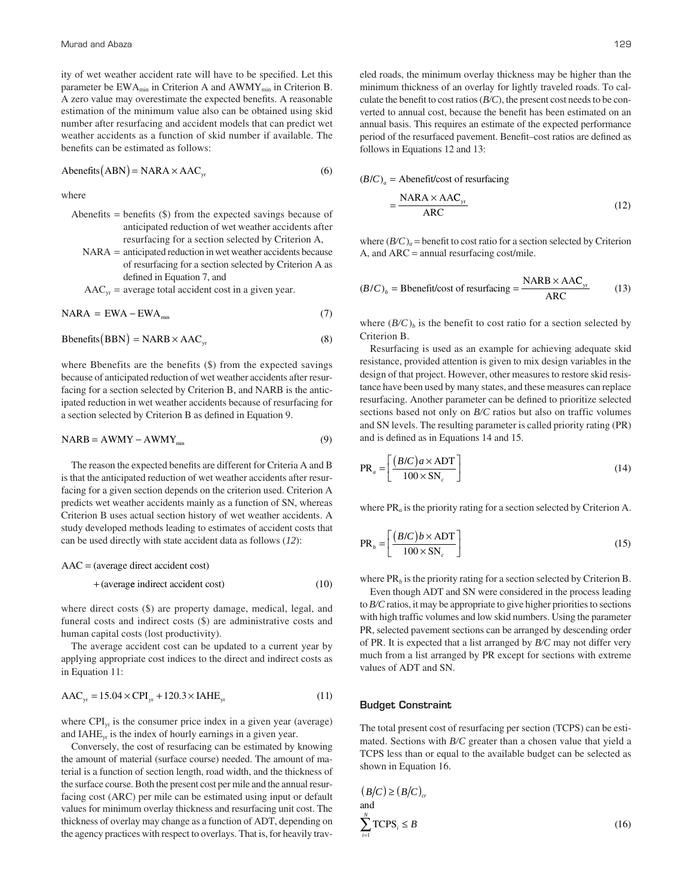ity of wet weather accident rate will have to be specified. Let this parameter be EWA<sub>min</sub> in Criterion A and AWMY<sub>min</sub> in Criterion B. A zero value may overestimate the expected benefits. A reasonable estimation of the minimum value also can be obtained using skid number after resurfacing and accident models that can predict wet weather accidents as a function of skid number if available. The benefits can be estimated as follows:

$$
Abenefits(ABN) = NARA \times AAC_{yr}
$$
 (6)

where

- Abenefits  $=$  benefits  $(\$)$  from the expected savings because of anticipated reduction of wet weather accidents after resurfacing for a section selected by Criterion A,
	- NARA = anticipated reduction in wet weather accidents because of resurfacing for a section selected by Criterion A as defined in Equation 7, and
	- $\text{AAC}_{\text{yr}}$  = average total accident cost in a given year.

$$
NARA = EWA - EWA_{min} \tag{7}
$$

$$
Bbenefits(BBN) = NARB \times AAC_{yr}
$$
 (8)

where Bbenefits are the benefits (\$) from the expected savings because of anticipated reduction of wet weather accidents after resurfacing for a section selected by Criterion B, and NARB is the anticipated reduction in wet weather accidents because of resurfacing for a section selected by Criterion B as defined in Equation 9.

$$
NARB = AWMY - AWMY_{min} \tag{9}
$$

The reason the expected benefits are different for Criteria A and B is that the anticipated reduction of wet weather accidents after resurfacing for a given section depends on the criterion used. Criterion A predicts wet weather accidents mainly as a function of SN, whereas Criterion B uses actual section history of wet weather accidents. A study developed methods leading to estimates of accident costs that can be used directly with state accident data as follows (*12*):

 $AAC = (average direct accident cost)$ 

$$
+(average indirect accident cost)
$$
\n
$$
(10)
$$

where direct costs (\$) are property damage, medical, legal, and funeral costs and indirect costs (\$) are administrative costs and human capital costs (lost productivity).

The average accident cost can be updated to a current year by applying appropriate cost indices to the direct and indirect costs as in Equation 11:

$$
AAC_{yr} = 15.04 \times \text{CPI}_{yr} + 120.3 \times \text{IAHE}_{yr}
$$
 (11)

where CPI<sub>yr</sub> is the consumer price index in a given year (average) and IAHEyr is the index of hourly earnings in a given year.

Conversely, the cost of resurfacing can be estimated by knowing the amount of material (surface course) needed. The amount of material is a function of section length, road width, and the thickness of the surface course. Both the present cost per mile and the annual resurfacing cost (ARC) per mile can be estimated using input or default values for minimum overlay thickness and resurfacing unit cost. The thickness of overlay may change as a function of ADT, depending on the agency practices with respect to overlays. That is, for heavily traveled roads, the minimum overlay thickness may be higher than the minimum thickness of an overlay for lightly traveled roads. To calculate the benefit to cost ratios (*B/C*), the present cost needs to be converted to annual cost, because the benefit has been estimated on an annual basis. This requires an estimate of the expected performance period of the resurfaced pavement. Benefit–cost ratios are defined as follows in Equations 12 and 13:

$$
(B/C)_a = \text{Abenefit/cost of resurfacing}
$$

$$
= \frac{\text{NARA} \times \text{AAC}_{\text{yr}}}{\text{ARC}}
$$
(12)

where  $(B/C)_a$  = benefit to cost ratio for a section selected by Criterion A, and ARC = annual resurfacing cost/mile.

$$
(B/C)_b = \text{Bbenefit/cost of resurfacing} = \frac{\text{NARB} \times \text{AAC}_{\text{yr}}}{\text{ARC}} \tag{13}
$$

where  $(B/C)_b$  is the benefit to cost ratio for a section selected by Criterion B.

Resurfacing is used as an example for achieving adequate skid resistance, provided attention is given to mix design variables in the design of that project. However, other measures to restore skid resistance have been used by many states, and these measures can replace resurfacing. Another parameter can be defined to prioritize selected sections based not only on *B/C* ratios but also on traffic volumes and SN levels. The resulting parameter is called priority rating (PR) and is defined as in Equations 14 and 15.

$$
PR_a = \left[ \frac{(B/C)a \times ADT}{100 \times SN_c} \right]
$$
 (14)

where PR*<sup>a</sup>* is the priority rating for a section selected by Criterion A.

$$
PR_b = \left[ \frac{(B/C)b \times ADT}{100 \times SN_c} \right]
$$
 (15)

where  $PR_b$  is the priority rating for a section selected by Criterion B.

Even though ADT and SN were considered in the process leading to *B/C*ratios, it may be appropriate to give higher priorities to sections with high traffic volumes and low skid numbers. Using the parameter PR, selected pavement sections can be arranged by descending order of PR. It is expected that a list arranged by *B/C* may not differ very much from a list arranged by PR except for sections with extreme values of ADT and SN.

### **Budget Constraint**

The total present cost of resurfacing per section (TCPS) can be estimated. Sections with *B/C* greater than a chosen value that yield a TCPS less than or equal to the available budget can be selected as shown in Equation 16.

$$
(B/C) \ge (B/C)_{cr}
$$
  
and  

$$
\sum_{i=1}^{N} \text{TCPS}_{i} \le B
$$
 (16)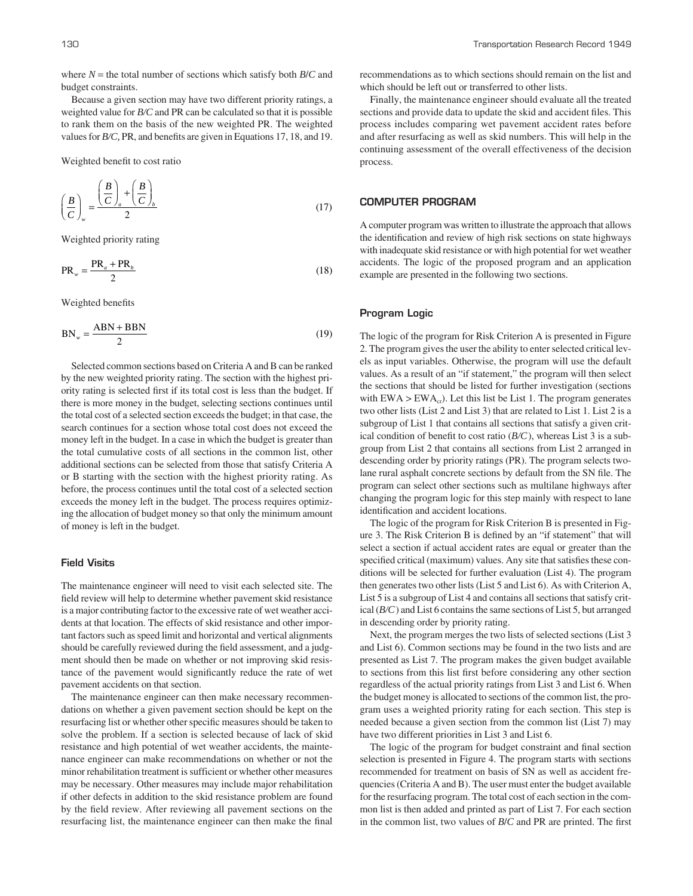where  $N =$  the total number of sections which satisfy both  $B/C$  and budget constraints.

Because a given section may have two different priority ratings, a weighted value for *B/C* and PR can be calculated so that it is possible to rank them on the basis of the new weighted PR. The weighted values for *B/C,* PR, and benefits are given in Equations 17, 18, and 19.

Weighted benefit to cost ratio

$$
\left(\frac{B}{C}\right)_w = \frac{\left(\frac{B}{C}\right)_a + \left(\frac{B}{C}\right)_b}{2} \tag{17}
$$

Weighted priority rating

$$
PR_w = \frac{PR_a + PR_b}{2} \tag{18}
$$

Weighted benefits

$$
BN_w = \frac{ABN + BBN}{2}
$$
 (19)

Selected common sections based on Criteria A and B can be ranked by the new weighted priority rating. The section with the highest priority rating is selected first if its total cost is less than the budget. If there is more money in the budget, selecting sections continues until the total cost of a selected section exceeds the budget; in that case, the search continues for a section whose total cost does not exceed the money left in the budget. In a case in which the budget is greater than the total cumulative costs of all sections in the common list, other additional sections can be selected from those that satisfy Criteria A or B starting with the section with the highest priority rating. As before, the process continues until the total cost of a selected section exceeds the money left in the budget. The process requires optimizing the allocation of budget money so that only the minimum amount of money is left in the budget.

## **Field Visits**

The maintenance engineer will need to visit each selected site. The field review will help to determine whether pavement skid resistance is a major contributing factor to the excessive rate of wet weather accidents at that location. The effects of skid resistance and other important factors such as speed limit and horizontal and vertical alignments should be carefully reviewed during the field assessment, and a judgment should then be made on whether or not improving skid resistance of the pavement would significantly reduce the rate of wet pavement accidents on that section.

The maintenance engineer can then make necessary recommendations on whether a given pavement section should be kept on the resurfacing list or whether other specific measures should be taken to solve the problem. If a section is selected because of lack of skid resistance and high potential of wet weather accidents, the maintenance engineer can make recommendations on whether or not the minor rehabilitation treatment is sufficient or whether other measures may be necessary. Other measures may include major rehabilitation if other defects in addition to the skid resistance problem are found by the field review. After reviewing all pavement sections on the resurfacing list, the maintenance engineer can then make the final recommendations as to which sections should remain on the list and which should be left out or transferred to other lists.

Finally, the maintenance engineer should evaluate all the treated sections and provide data to update the skid and accident files. This process includes comparing wet pavement accident rates before and after resurfacing as well as skid numbers. This will help in the continuing assessment of the overall effectiveness of the decision process.

## **COMPUTER PROGRAM**

A computer program was written to illustrate the approach that allows the identification and review of high risk sections on state highways with inadequate skid resistance or with high potential for wet weather accidents. The logic of the proposed program and an application example are presented in the following two sections.

## **Program Logic**

The logic of the program for Risk Criterion A is presented in Figure 2. The program gives the user the ability to enter selected critical levels as input variables. Otherwise, the program will use the default values. As a result of an "if statement," the program will then select the sections that should be listed for further investigation (sections with  $EWA > EWA<sub>cr</sub>$ ). Let this list be List 1. The program generates two other lists (List 2 and List 3) that are related to List 1. List 2 is a subgroup of List 1 that contains all sections that satisfy a given critical condition of benefit to cost ratio (*B/C*), whereas List 3 is a subgroup from List 2 that contains all sections from List 2 arranged in descending order by priority ratings (PR). The program selects twolane rural asphalt concrete sections by default from the SN file. The program can select other sections such as multilane highways after changing the program logic for this step mainly with respect to lane identification and accident locations.

The logic of the program for Risk Criterion B is presented in Figure 3. The Risk Criterion B is defined by an "if statement" that will select a section if actual accident rates are equal or greater than the specified critical (maximum) values. Any site that satisfies these conditions will be selected for further evaluation (List 4). The program then generates two other lists (List 5 and List 6). As with Criterion A, List 5 is a subgroup of List 4 and contains all sections that satisfy critical (*B/C*) and List 6 contains the same sections of List 5, but arranged in descending order by priority rating.

Next, the program merges the two lists of selected sections (List 3 and List 6). Common sections may be found in the two lists and are presented as List 7. The program makes the given budget available to sections from this list first before considering any other section regardless of the actual priority ratings from List 3 and List 6. When the budget money is allocated to sections of the common list, the program uses a weighted priority rating for each section. This step is needed because a given section from the common list (List 7) may have two different priorities in List 3 and List 6.

The logic of the program for budget constraint and final section selection is presented in Figure 4. The program starts with sections recommended for treatment on basis of SN as well as accident frequencies (Criteria A and B). The user must enter the budget available for the resurfacing program. The total cost of each section in the common list is then added and printed as part of List 7. For each section in the common list, two values of *B*/*C* and PR are printed. The first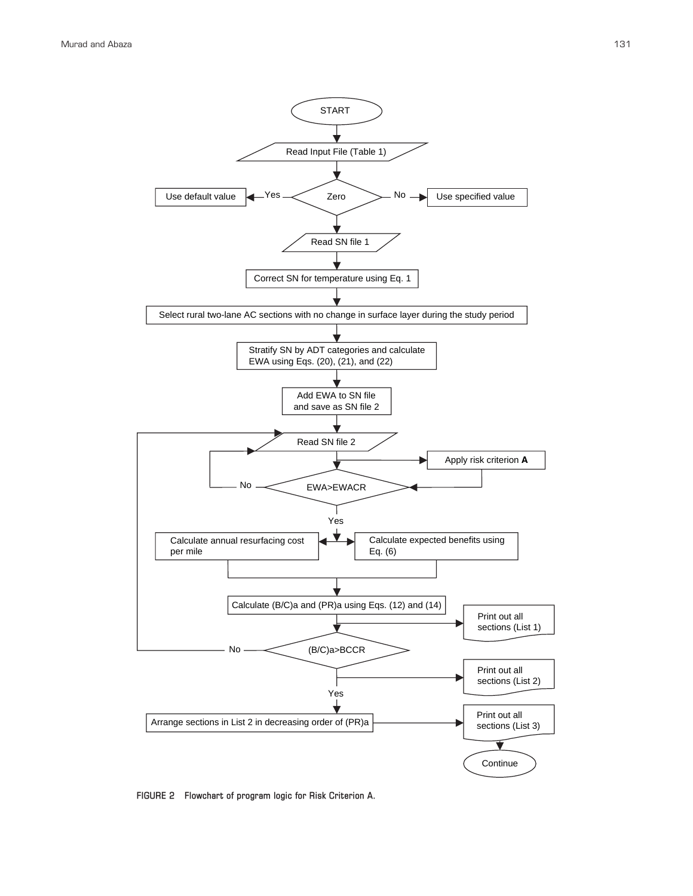

**FIGURE 2 Flowchart of program logic for Risk Criterion A.**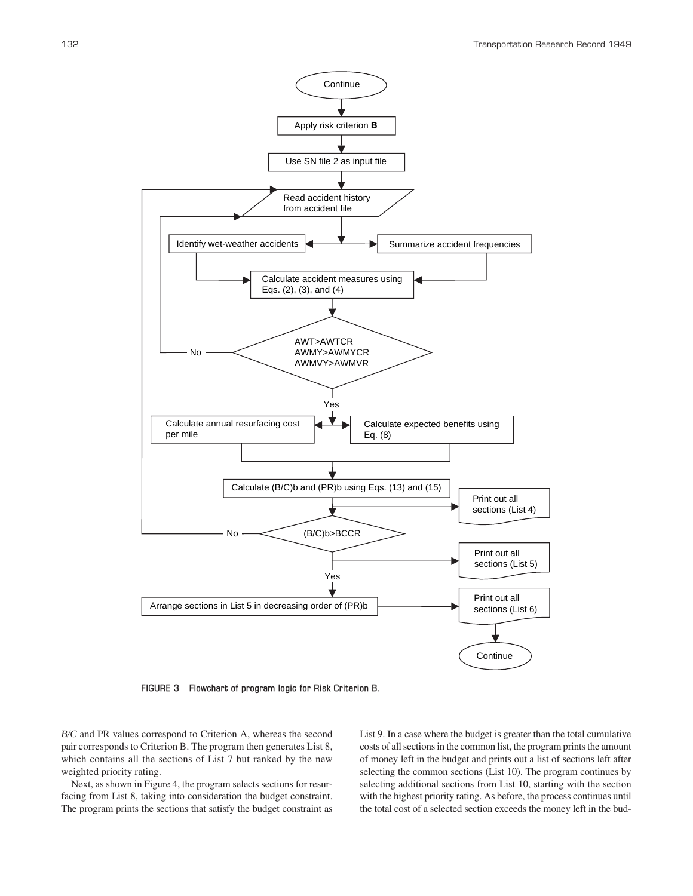

**FIGURE 3 Flowchart of program logic for Risk Criterion B.**

*B/C* and PR values correspond to Criterion A, whereas the second pair corresponds to Criterion B. The program then generates List 8, which contains all the sections of List 7 but ranked by the new weighted priority rating.

Next, as shown in Figure 4, the program selects sections for resurfacing from List 8, taking into consideration the budget constraint. The program prints the sections that satisfy the budget constraint as List 9. In a case where the budget is greater than the total cumulative costs of all sections in the common list, the program prints the amount of money left in the budget and prints out a list of sections left after selecting the common sections (List 10). The program continues by selecting additional sections from List 10, starting with the section with the highest priority rating. As before, the process continues until the total cost of a selected section exceeds the money left in the bud-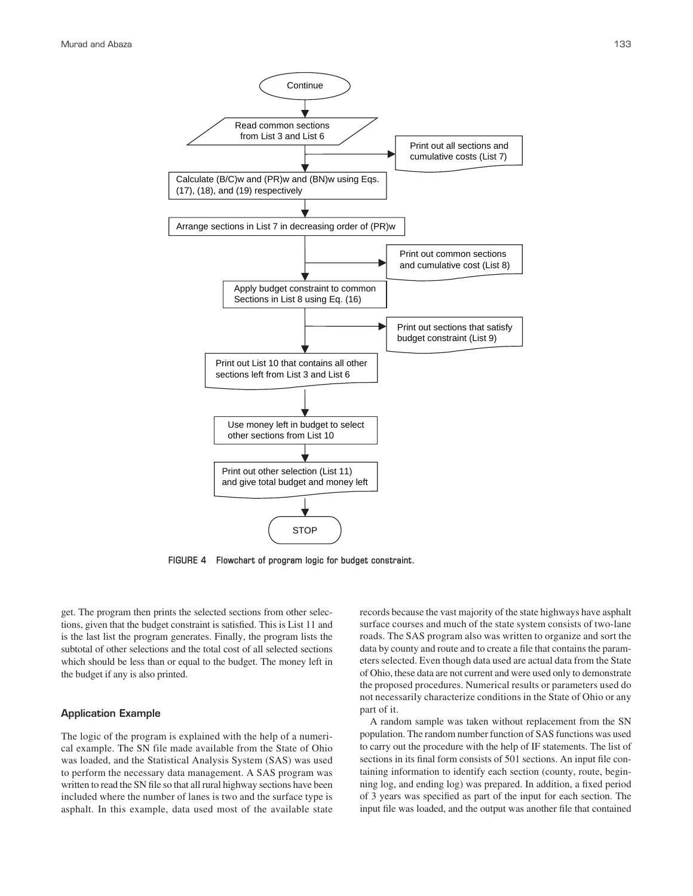

**FIGURE 4 Flowchart of program logic for budget constraint.**

get. The program then prints the selected sections from other selections, given that the budget constraint is satisfied. This is List 11 and is the last list the program generates. Finally, the program lists the subtotal of other selections and the total cost of all selected sections which should be less than or equal to the budget. The money left in the budget if any is also printed.

#### **Application Example**

The logic of the program is explained with the help of a numerical example. The SN file made available from the State of Ohio was loaded, and the Statistical Analysis System (SAS) was used to perform the necessary data management. A SAS program was written to read the SN file so that all rural highway sections have been included where the number of lanes is two and the surface type is asphalt. In this example, data used most of the available state records because the vast majority of the state highways have asphalt surface courses and much of the state system consists of two-lane roads. The SAS program also was written to organize and sort the data by county and route and to create a file that contains the parameters selected. Even though data used are actual data from the State of Ohio, these data are not current and were used only to demonstrate the proposed procedures. Numerical results or parameters used do not necessarily characterize conditions in the State of Ohio or any part of it.

A random sample was taken without replacement from the SN population. The random number function of SAS functions was used to carry out the procedure with the help of IF statements. The list of sections in its final form consists of 501 sections. An input file containing information to identify each section (county, route, beginning log, and ending log) was prepared. In addition, a fixed period of 3 years was specified as part of the input for each section. The input file was loaded, and the output was another file that contained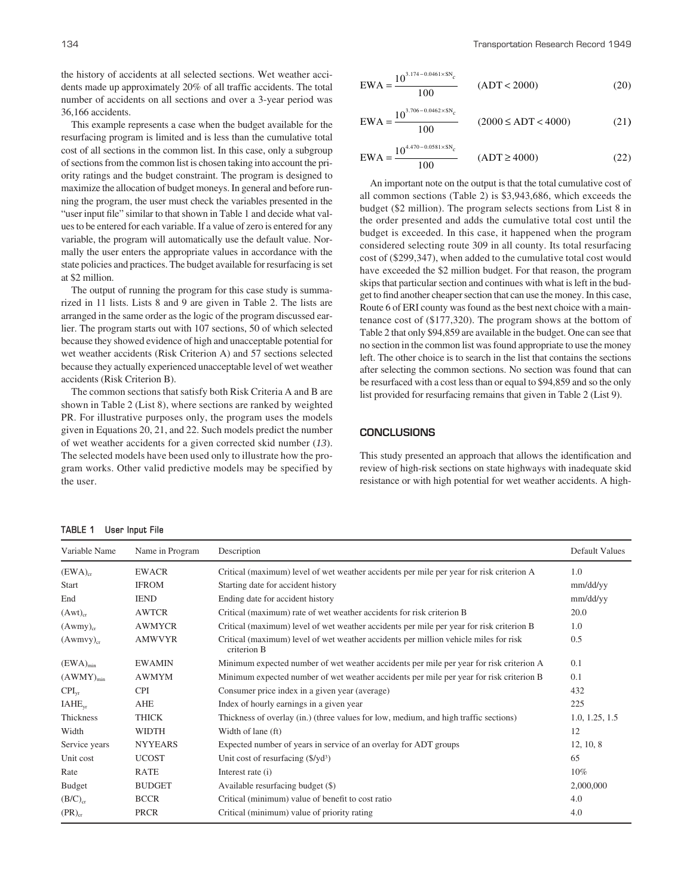the history of accidents at all selected sections. Wet weather accidents made up approximately 20% of all traffic accidents. The total number of accidents on all sections and over a 3-year period was 36,166 accidents.

This example represents a case when the budget available for the resurfacing program is limited and is less than the cumulative total cost of all sections in the common list. In this case, only a subgroup of sections from the common list is chosen taking into account the priority ratings and the budget constraint. The program is designed to maximize the allocation of budget moneys. In general and before running the program, the user must check the variables presented in the "user input file" similar to that shown in Table 1 and decide what values to be entered for each variable. If a value of zero is entered for any variable, the program will automatically use the default value. Normally the user enters the appropriate values in accordance with the state policies and practices. The budget available for resurfacing is set at \$2 million.

The output of running the program for this case study is summarized in 11 lists. Lists 8 and 9 are given in Table 2. The lists are arranged in the same order as the logic of the program discussed earlier. The program starts out with 107 sections, 50 of which selected because they showed evidence of high and unacceptable potential for wet weather accidents (Risk Criterion A) and 57 sections selected because they actually experienced unacceptable level of wet weather accidents (Risk Criterion B).

The common sections that satisfy both Risk Criteria A and B are shown in Table 2 (List 8), where sections are ranked by weighted PR. For illustrative purposes only, the program uses the models given in Equations 20, 21, and 22. Such models predict the number of wet weather accidents for a given corrected skid number (*13*). The selected models have been used only to illustrate how the program works. Other valid predictive models may be specified by the user.

#### **TABLE 1 User Input File**

$$
EWA = \frac{10^{3.174 - 0.0461 \times SN_c}}{100}
$$
 (ADT < 2000) (20)

$$
EWA = \frac{10^{3.706 - 0.0462 \times SN_c}}{100} \qquad (2000 \le ADT < 4000)
$$
 (21)

$$
EWA = \frac{10^{4.470 - 0.0581 \times SN_c}}{100}
$$
 (ADT  $\geq$  4000) (22)

An important note on the output is that the total cumulative cost of all common sections (Table 2) is \$3,943,686, which exceeds the budget (\$2 million). The program selects sections from List 8 in the order presented and adds the cumulative total cost until the budget is exceeded. In this case, it happened when the program considered selecting route 309 in all county. Its total resurfacing cost of (\$299,347), when added to the cumulative total cost would have exceeded the \$2 million budget. For that reason, the program skips that particular section and continues with what is left in the budget to find another cheaper section that can use the money. In this case, Route 6 of ERI county was found as the best next choice with a maintenance cost of (\$177,320). The program shows at the bottom of Table 2 that only \$94,859 are available in the budget. One can see that no section in the common list was found appropriate to use the money left. The other choice is to search in the list that contains the sections after selecting the common sections. No section was found that can be resurfaced with a cost less than or equal to \$94,859 and so the only list provided for resurfacing remains that given in Table 2 (List 9).

#### **CONCLUSIONS**

This study presented an approach that allows the identification and review of high-risk sections on state highways with inadequate skid resistance or with high potential for wet weather accidents. A high-

| Variable Name      | Name in Program | Description                                                                                         | Default Values |
|--------------------|-----------------|-----------------------------------------------------------------------------------------------------|----------------|
| $(EWA)_{cr}$       | <b>EWACR</b>    | Critical (maximum) level of wet weather accidents per mile per year for risk criterion A            | 1.0            |
| <b>Start</b>       | <b>IFROM</b>    | Starting date for accident history                                                                  | mm/dd/yy       |
| End                | <b>IEND</b>     | Ending date for accident history                                                                    | mm/dd/yy       |
| $(Awt)_{cr}$       | <b>AWTCR</b>    | Critical (maximum) rate of wet weather accidents for risk criterion B                               | 20.0           |
| $(Awmy)_{cr}$      | <b>AWMYCR</b>   | Critical (maximum) level of wet weather accidents per mile per year for risk criterion B            | 1.0            |
| $(Awmv)_{cr}$      | <b>AMWVYR</b>   | Critical (maximum) level of wet weather accidents per million vehicle miles for risk<br>criterion B | 0.5            |
| $(EWA)_{min}$      | <b>EWAMIN</b>   | Minimum expected number of wet weather accidents per mile per year for risk criterion A             | 0.1            |
| $(AWW)_{min}$      | <b>AWMYM</b>    | Minimum expected number of wet weather accidents per mile per year for risk criterion B             | 0.1            |
| $CPI_{vr}$         | <b>CPI</b>      | Consumer price index in a given year (average)                                                      | 432            |
| IAHE <sub>vr</sub> | AHE             | Index of hourly earnings in a given year                                                            | 225            |
| Thickness          | <b>THICK</b>    | Thickness of overlay (in.) (three values for low, medium, and high traffic sections)                | 1.0, 1.25, 1.5 |
| Width              | <b>WIDTH</b>    | Width of lane (ft)                                                                                  | 12             |
| Service years      | <b>NYYEARS</b>  | Expected number of years in service of an overlay for ADT groups                                    | 12, 10, 8      |
| Unit cost          | <b>UCOST</b>    | Unit cost of resurfacing $(\frac{6}{y}d^3)$                                                         | 65             |
| Rate               | <b>RATE</b>     | Interest rate (i)                                                                                   | 10%            |
| <b>Budget</b>      | <b>BUDGET</b>   | Available resurfacing budget (\$)                                                                   | 2,000,000      |
| $(B/C)_{cr}$       | <b>BCCR</b>     | Critical (minimum) value of benefit to cost ratio                                                   | 4.0            |
| $(PR)_{cr}$        | <b>PRCR</b>     | Critical (minimum) value of priority rating                                                         | 4.0            |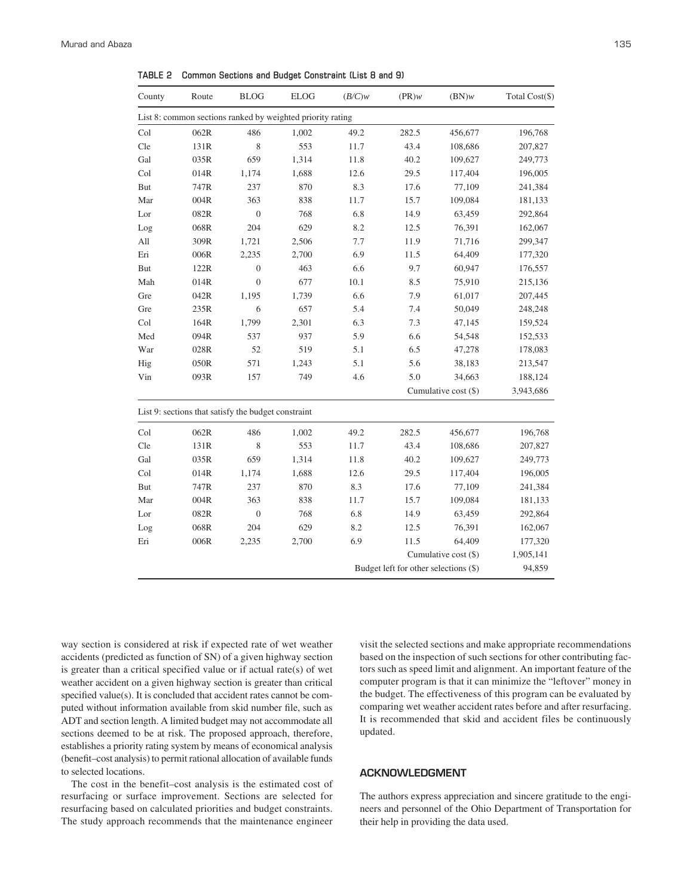| County | Route | <b>BLOG</b>                                         | <b>ELOG</b>                                                | (B/C)w | (PR)w                                 | (BN)w                | Total Cost(\$) |
|--------|-------|-----------------------------------------------------|------------------------------------------------------------|--------|---------------------------------------|----------------------|----------------|
|        |       |                                                     | List 8: common sections ranked by weighted priority rating |        |                                       |                      |                |
| Col    | 062R  | 486                                                 | 1,002                                                      | 49.2   | 282.5                                 | 456,677              | 196,768        |
| Cle    | 131R  | 8                                                   | 553                                                        | 11.7   | 43.4                                  | 108,686              | 207,827        |
| Gal    | 035R  | 659                                                 | 1,314                                                      | 11.8   | 40.2                                  | 109,627              | 249,773        |
| Col    | 014R  | 1,174                                               | 1,688                                                      | 12.6   | 29.5                                  | 117,404              | 196,005        |
| But    | 747R  | 237                                                 | 870                                                        | 8.3    | 17.6                                  | 77,109               | 241,384        |
| Mar    | 004R  | 363                                                 | 838                                                        | 11.7   | 15.7                                  | 109,084              | 181,133        |
| Lor    | 082R  | $\mathbf{0}$                                        | 768                                                        | 6.8    | 14.9                                  | 63,459               | 292,864        |
| Log    | 068R  | 204                                                 | 629                                                        | 8.2    | 12.5                                  | 76,391               | 162,067        |
| All    | 309R  | 1,721                                               | 2,506                                                      | 7.7    | 11.9                                  | 71,716               | 299,347        |
| Eri    | 006R  | 2,235                                               | 2,700                                                      | 6.9    | 11.5                                  | 64,409               | 177,320        |
| But    | 122R  | $\mathbf{0}$                                        | 463                                                        | 6.6    | 9.7                                   | 60,947               | 176,557        |
| Mah    | 014R  | $\mathbf{0}$                                        | 677                                                        | 10.1   | 8.5                                   | 75,910               | 215,136        |
| Gre    | 042R  | 1,195                                               | 1,739                                                      | 6.6    | 7.9                                   | 61,017               | 207,445        |
| Gre    | 235R  | 6                                                   | 657                                                        | 5.4    | 7.4                                   | 50,049               | 248,248        |
| Col    | 164R  | 1,799                                               | 2,301                                                      | 6.3    | 7.3                                   | 47,145               | 159,524        |
| Med    | 094R  | 537                                                 | 937                                                        | 5.9    | 6.6                                   | 54,548               | 152,533        |
| War    | 028R  | 52                                                  | 519                                                        | 5.1    | 6.5                                   | 47,278               | 178,083        |
| Hig    | 050R  | 571                                                 | 1,243                                                      | 5.1    | 5.6                                   | 38,183               | 213,547        |
| Vin    | 093R  | 157                                                 | 749                                                        | 4.6    | 5.0                                   | 34,663               | 188,124        |
|        |       |                                                     |                                                            |        | Cumulative cost (\$)                  |                      | 3,943,686      |
|        |       | List 9: sections that satisfy the budget constraint |                                                            |        |                                       |                      |                |
| Col    | 062R  | 486                                                 | 1,002                                                      | 49.2   | 282.5                                 | 456,677              | 196,768        |
| Cle    | 131R  | $\,$ 8 $\,$                                         | 553                                                        | 11.7   | 43.4                                  | 108,686              | 207,827        |
| Gal    | 035R  | 659                                                 | 1,314                                                      | 11.8   | 40.2                                  | 109,627              | 249,773        |
| Col    | 014R  | 1,174                                               | 1,688                                                      | 12.6   | 29.5                                  | 117,404              | 196,005        |
| But    | 747R  | 237                                                 | 870                                                        | 8.3    | 17.6                                  | 77,109               | 241,384        |
| Mar    | 004R  | 363                                                 | 838                                                        | 11.7   | 15.7                                  | 109,084              | 181,133        |
| Lor    | 082R  | $\overline{0}$                                      | 768                                                        | 6.8    | 14.9                                  | 63,459               | 292,864        |
| Log    | 068R  | 204                                                 | 629                                                        | 8.2    | 12.5                                  | 76,391               | 162,067        |
| Eri    | 006R  | 2,235                                               | 2,700                                                      | 6.9    | 11.5                                  | 64,409               | 177,320        |
|        |       |                                                     |                                                            |        |                                       | Cumulative cost (\$) | 1,905,141      |
|        |       |                                                     |                                                            |        | Budget left for other selections (\$) |                      | 94,859         |

**TABLE 2 Common Sections and Budget Constraint (List 8 and 9)**

way section is considered at risk if expected rate of wet weather accidents (predicted as function of SN) of a given highway section is greater than a critical specified value or if actual rate(s) of wet weather accident on a given highway section is greater than critical specified value(s). It is concluded that accident rates cannot be computed without information available from skid number file, such as ADT and section length. A limited budget may not accommodate all sections deemed to be at risk. The proposed approach, therefore, establishes a priority rating system by means of economical analysis (benefit–cost analysis) to permit rational allocation of available funds to selected locations.

The cost in the benefit–cost analysis is the estimated cost of resurfacing or surface improvement. Sections are selected for resurfacing based on calculated priorities and budget constraints. The study approach recommends that the maintenance engineer

visit the selected sections and make appropriate recommendations based on the inspection of such sections for other contributing factors such as speed limit and alignment. An important feature of the computer program is that it can minimize the "leftover" money in the budget. The effectiveness of this program can be evaluated by comparing wet weather accident rates before and after resurfacing. It is recommended that skid and accident files be continuously updated.

## **ACKNOWLEDGMENT**

The authors express appreciation and sincere gratitude to the engineers and personnel of the Ohio Department of Transportation for their help in providing the data used.